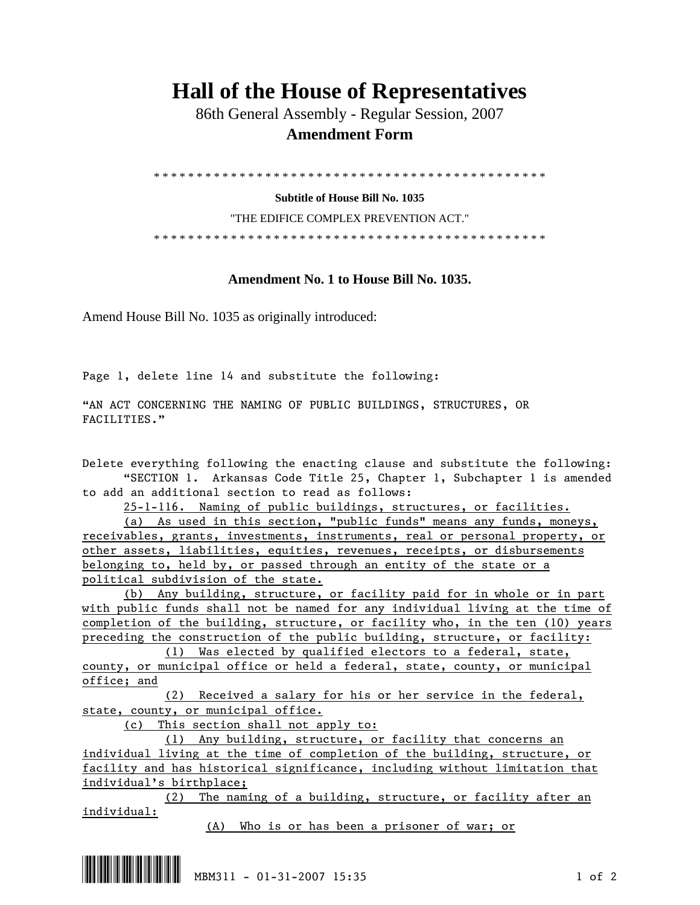## **Hall of the House of Representatives**

 86th General Assembly - Regular Session, 2007  **Amendment Form** 

\* \* \* \* \* \* \* \* \* \* \* \* \* \* \* \* \* \* \* \* \* \* \* \* \* \* \* \* \* \* \* \* \* \* \* \* \* \* \* \* \* \* \* \* \* \*

**Subtitle of House Bill No. 1035** 

"THE EDIFICE COMPLEX PREVENTION ACT."

\* \* \* \* \* \* \* \* \* \* \* \* \* \* \* \* \* \* \* \* \* \* \* \* \* \* \* \* \* \* \* \* \* \* \* \* \* \* \* \* \* \* \* \* \* \*

## **Amendment No. 1 to House Bill No. 1035.**

Amend House Bill No. 1035 as originally introduced:

Page 1, delete line 14 and substitute the following:

"AN ACT CONCERNING THE NAMING OF PUBLIC BUILDINGS, STRUCTURES, OR FACILITIES."

Delete everything following the enacting clause and substitute the following: "SECTION 1. Arkansas Code Title 25, Chapter 1, Subchapter 1 is amended to add an additional section to read as follows:

25-1-116. Naming of public buildings, structures, or facilities.

 (a) As used in this section, "public funds" means any funds, moneys, receivables, grants, investments, instruments, real or personal property, or other assets, liabilities, equities, revenues, receipts, or disbursements belonging to, held by, or passed through an entity of the state or a political subdivision of the state.

 (b) Any building, structure, or facility paid for in whole or in part with public funds shall not be named for any individual living at the time of completion of the building, structure, or facility who, in the ten (10) years preceding the construction of the public building, structure, or facility:

 (1) Was elected by qualified electors to a federal, state, county, or municipal office or held a federal, state, county, or municipal office; and

 (2) Received a salary for his or her service in the federal, state, county, or municipal office.

(c) This section shall not apply to:

 (1) Any building, structure, or facility that concerns an individual living at the time of completion of the building, structure, or facility and has historical significance, including without limitation that individual's birthplace;

 (2) The naming of a building, structure, or facility after an individual:

(A) Who is or has been a prisoner of war; or